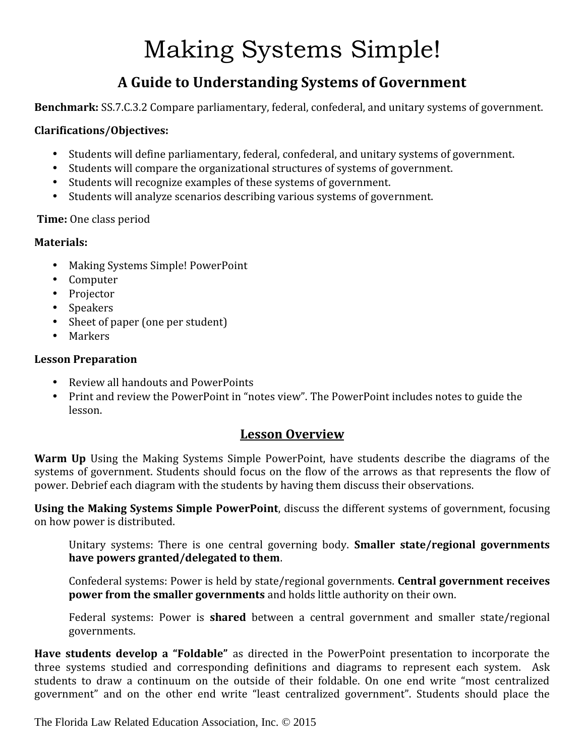# Making Systems Simple!

## **A Guide to Understanding Systems of Government**

**Benchmark:** SS.7.C.3.2 Compare parliamentary, federal, confederal, and unitary systems of government.

#### **Clarifications/Objectives:**

- 
- Students will define parliamentary, federal, confederal, and unitary systems of government.<br>• Students will compare the organizational structures of systems of government.<br>• Students will recognize examples of these syst
- 
- 

#### **Time:** One class period

#### **Materials:**

- 
- 
- 
- 
- Making Systems Simple! PowerPoint<br>
Computer<br>
Projector<br>
Speakers<br>
Sheet of paper (one per student)<br>
Markers
- 

#### **Lesson Preparation**

- 
- Review all handouts and PowerPoints<br>• Print and review the PowerPoint in "notes view". The PowerPoint includes notes to guide the lesson.

### **Lesson Overview**

**Warm Up** Using the Making Systems Simple PowerPoint, have students describe the diagrams of the systems of government. Students should focus on the flow of the arrows as that represents the flow of power. Debrief each diagram with the students by having them discuss their observations.

**Using the Making Systems Simple PowerPoint**, discuss the different systems of government, focusing on how power is distributed.

Unitary systems: There is one central governing body. **Smaller state/regional governments have powers granted/delegated to them**.

Confederal systems: Power is held by state/regional governments. **Central government receives power from the smaller governments** and holds little authority on their own.

Federal systems: Power is **shared** between a central government and smaller state/regional governments.

**Have students develop a "Foldable"** as directed in the PowerPoint presentation to incorporate the three systems studied and corresponding definitions and diagrams to represent each system. Ask students to draw a continuum on the outside of their foldable. On one end write "most centralized government" and on the other end write "least centralized government". Students should place the

The Florida Law Related Education Association, Inc. © 2015